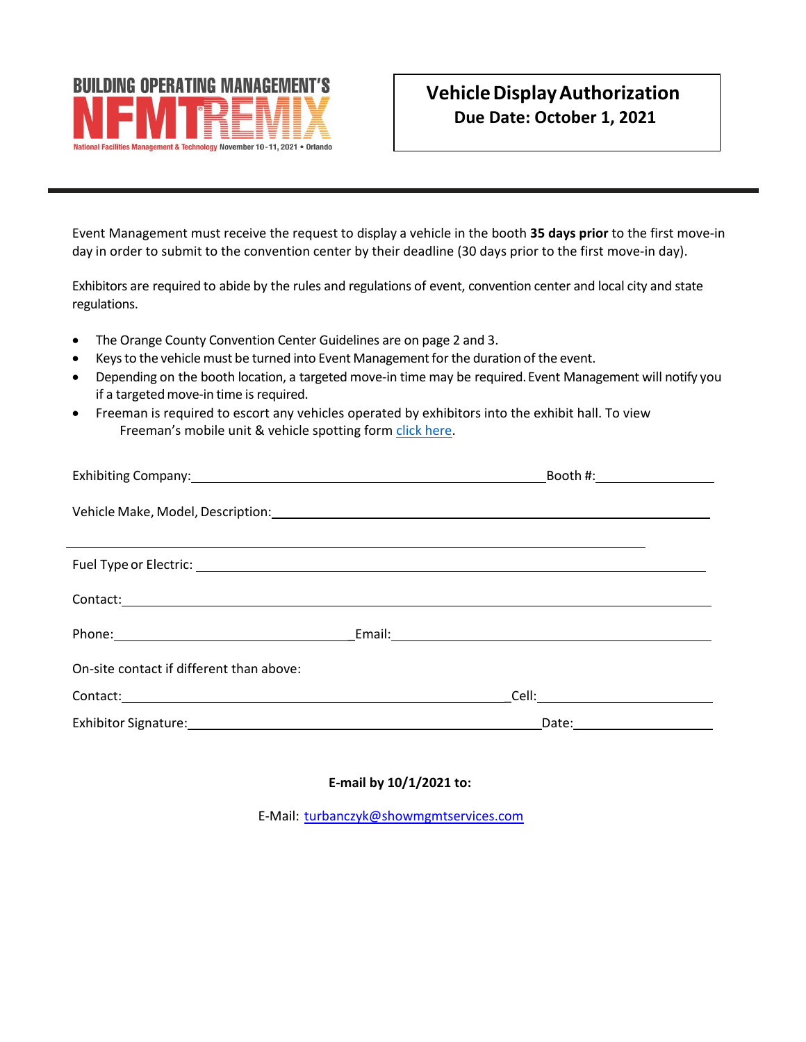

Event Management must receive the request to display a vehicle in the booth **35 days prior** to the first move-in day in order to submit to the convention center by their deadline (30 days prior to the first move-in day).

Exhibitors are required to abide by the rules and regulations of event, convention center and local city and state regulations.

- The Orange County Convention Center Guidelines are on page 2 and 3.
- Keys to the vehicle must be turned into Event Management for the duration of the event.
- Depending on the booth location, a targeted move-in time may be required. Event Management will notify you if a targeted move-in time is required.
- Freeman is required to escort any vehicles operated by exhibitors into the exhibit hall. To view Freeman's mobile unit & vehicle spotting form [click here.](https://www.dropbox.com/s/7aayehzczsxpl0x/Mobile%20Unit%20%26%20Vehicle%20Spotting.pdf?dl=0)

|                                                                                                                                                                                                                                     | Booth #: _________________ |
|-------------------------------------------------------------------------------------------------------------------------------------------------------------------------------------------------------------------------------------|----------------------------|
| Vehicle Make, Model, Description: Vehicle Make, Model, Description:                                                                                                                                                                 |                            |
|                                                                                                                                                                                                                                     |                            |
| Contact: <u>contact:</u> contact: contact: contact: contact: contact: contact: contact: contact: contact: contact: contact: contact: contact: contact: contact: contact: contact: contact: contact: contact: contact: contact: cont |                            |
| Phone: Email: Email: Email: Email: Email: Email: Email: Email: Email: Email: Email: Email: Email: Email: Email: Email: Email: Email: Email: Email: Email: Email: Email: Email: Email: Email: Email: Email: Email: Email: Email      |                            |
| On-site contact if different than above:                                                                                                                                                                                            |                            |
|                                                                                                                                                                                                                                     |                            |
|                                                                                                                                                                                                                                     | Date: ________________     |

#### **E-mail by 10/1/2021 to:**

E-Mail: [turbanczyk@showmgmtservices.com](mailto:turbanczyk@showmgmtservices.com)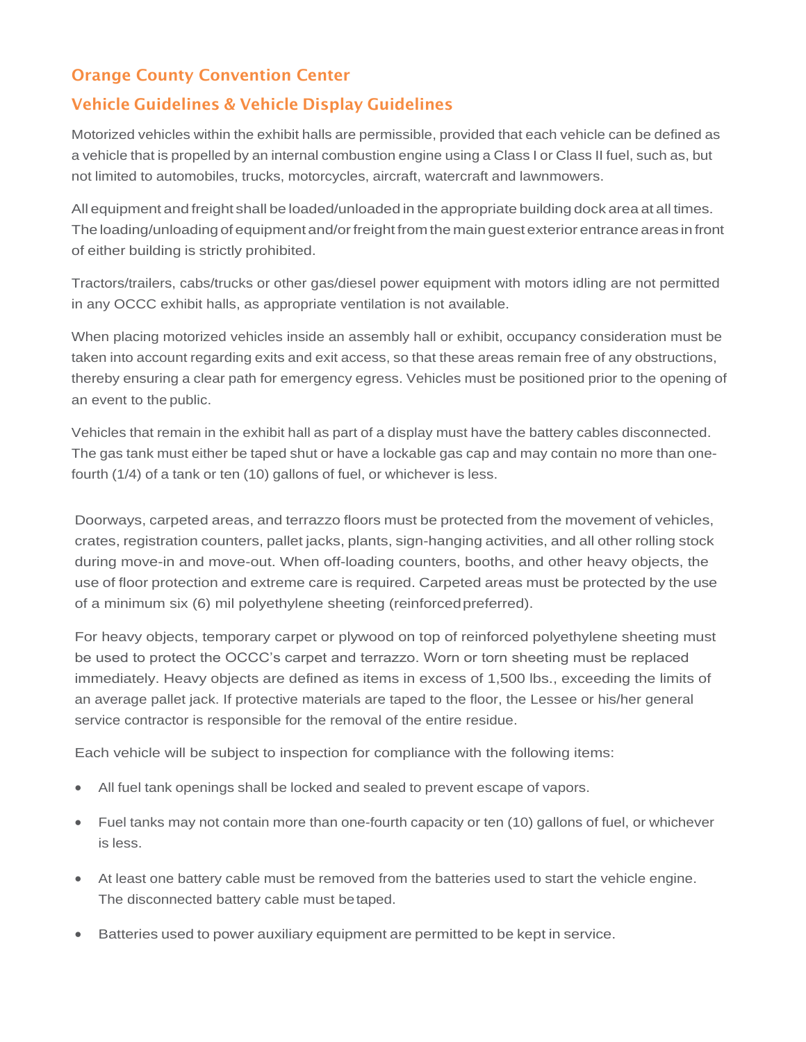# Orange County Convention Center

## Vehicle Guidelines & Vehicle Display Guidelines

Motorized vehicles within the exhibit halls are permissible, provided that each vehicle can be defined as a vehicle that is propelled by an internal combustion engine using a Class I or Class II fuel, such as, but not limited to automobiles, trucks, motorcycles, aircraft, watercraft and lawnmowers.

All equipment and freight shall be loaded/unloaded in the appropriate building dock area at all times. The loading/unloading of equipment and/or freight from the main guest exterior entrance areas in front of either building is strictly prohibited.

Tractors/trailers, cabs/trucks or other gas/diesel power equipment with motors idling are not permitted in any OCCC exhibit halls, as appropriate ventilation is not available.

When placing motorized vehicles inside an assembly hall or exhibit, occupancy consideration must be taken into account regarding exits and exit access, so that these areas remain free of any obstructions, thereby ensuring a clear path for emergency egress. Vehicles must be positioned prior to the opening of an event to the public.

Vehicles that remain in the exhibit hall as part of a display must have the battery cables disconnected. The gas tank must either be taped shut or have a lockable gas cap and may contain no more than onefourth (1/4) of a tank or ten (10) gallons of fuel, or whichever is less.

Doorways, carpeted areas, and terrazzo floors must be protected from the movement of vehicles, crates, registration counters, pallet jacks, plants, sign-hanging activities, and all other rolling stock during move-in and move-out. When off-loading counters, booths, and other heavy objects, the use of floor protection and extreme care is required. Carpeted areas must be protected by the use of a minimum six (6) mil polyethylene sheeting (reinforcedpreferred).

For heavy objects, temporary carpet or plywood on top of reinforced polyethylene sheeting must be used to protect the OCCC's carpet and terrazzo. Worn or torn sheeting must be replaced immediately. Heavy objects are defined as items in excess of 1,500 lbs., exceeding the limits of an average pallet jack. If protective materials are taped to the floor, the Lessee or his/her general service contractor is responsible for the removal of the entire residue.

Each vehicle will be subject to inspection for compliance with the following items:

- All fuel tank openings shall be locked and sealed to prevent escape of vapors.
- Fuel tanks may not contain more than one-fourth capacity or ten (10) gallons of fuel, or whichever is less.
- At least one battery cable must be removed from the batteries used to start the vehicle engine. The disconnected battery cable must betaped.
- Batteries used to power auxiliary equipment are permitted to be kept in service.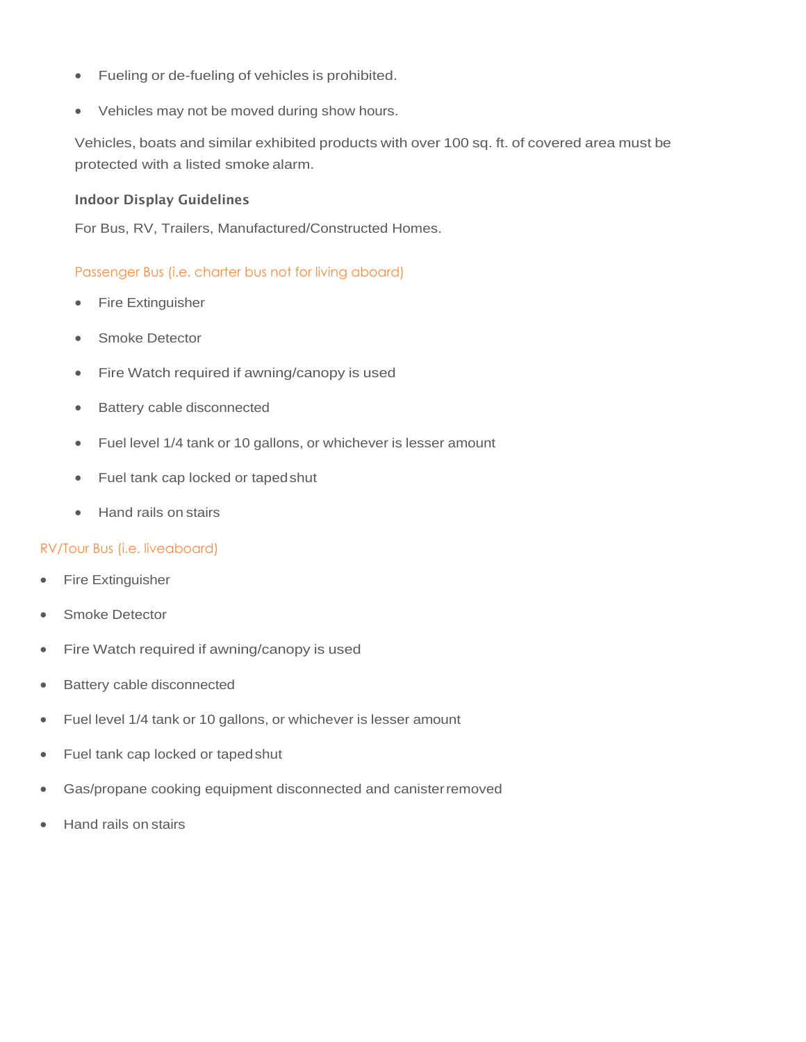- Fueling or de-fueling of vehicles is prohibited.
- Vehicles may not be moved during show hours.

Vehicles, boats and similar exhibited products with over 100 sq. ft. of covered area must be protected with a listed smoke alarm.

#### Indoor Display Guidelines

For Bus, RV, Trailers, Manufactured/Constructed Homes.

## Passenger Bus (i.e. charter bus not for living aboard)

- Fire Extinguisher
- Smoke Detector
- Fire Watch required if awning/canopy is used
- Battery cable disconnected
- Fuel level 1/4 tank or 10 gallons, or whichever is lesser amount
- Fuel tank cap locked or tapedshut
- Hand rails on stairs

#### RV/Tour Bus (i.e. liveaboard)

- **Fire Extinguisher**
- Smoke Detector
- Fire Watch required if awning/canopy is used
- Battery cable disconnected
- Fuel level 1/4 tank or 10 gallons, or whichever is lesser amount
- Fuel tank cap locked or tapedshut
- Gas/propane cooking equipment disconnected and canisterremoved
- Hand rails on stairs